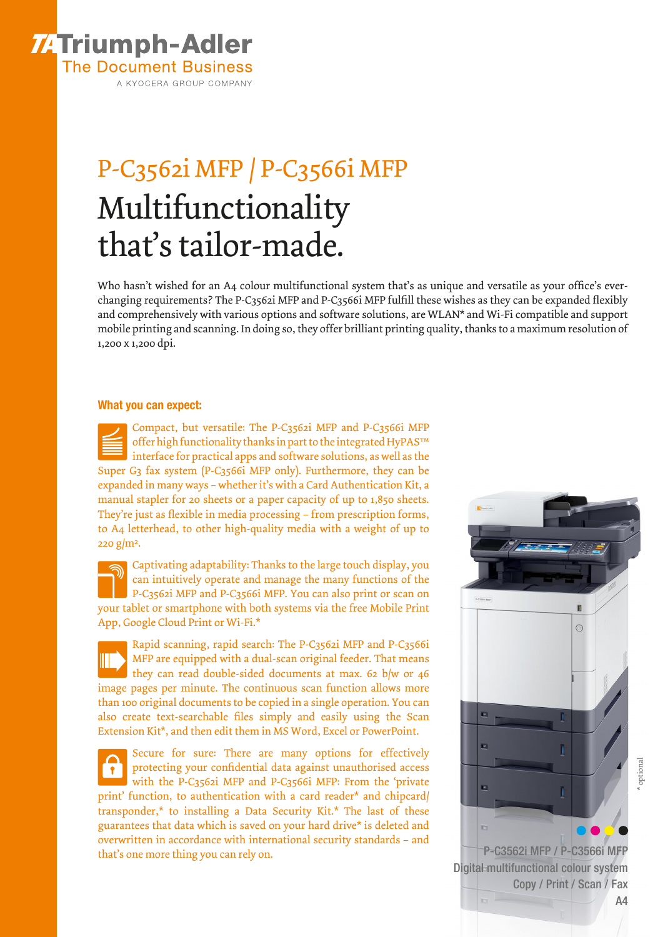

A KYOCERA GROUP COMPANY

## P-C3562i MFP / P-C3566i MFP Multifunctionality that's tailor-made.

Who hasn't wished for an A4 colour multifunctional system that's as unique and versatile as your office's everchanging requirements? The P-C3562i MFP and P-C3566i MFP fulfill these wishes as they can be expanded flexibly and comprehensively with various options and software solutions, are WLAN\* and Wi-Fi compatible and support mobile printing and scanning. In doing so, they offer brilliant printing quality, thanks to a maximum resolution of 1,200 x 1,200 dpi.

## What you can expect:

Compact, but versatile: The P-C3562i MFP and P-C3566i MFP offer high functionality thanks in part to the integrated HyPAS™ interface for practical apps and software solutions, as well as the Super G3 fax system (P-C3566i MFP only). Furthermore, they can be expanded in many ways – whether it's with a Card Authentication Kit, a manual stapler for 20 sheets or a paper capacity of up to 1,850 sheets. They're just as flexible in media processing – from prescription forms, to A4 letterhead, to other high-quality media with a weight of up to  $220$  g/m<sup>2</sup>.

Captivating adaptability: Thanks to the large touch display, you can intuitively operate and manage the many functions of the P-C3562i MFP and P-C3566i MFP. You can also print or scan on your tablet or smartphone with both systems via the free Mobile Print App, Google Cloud Print or Wi-Fi.\*

Rapid scanning, rapid search: The P-C3562i MFP and P-C3566i MFP are equipped with a dual-scan original feeder. That means they can read double-sided documents at max. 62 b/w or 46 image pages per minute. The continuous scan function allows more than 100 original documents to be copied in a single operation. You can also create text-searchable files simply and easily using the Scan Extension Kit\*, and then edit them in MS Word, Excel or PowerPoint.

Secure for sure: There are many options for effectively protecting your confidential data against unauthorised access  $\sqrt{ }$ with the P-C3562i MFP and P-C3566i MFP: From the 'private print' function, to authentication with a card reader\* and chipcard/ transponder,\* to installing a Data Security Kit.\* The last of these guarantees that data which is saved on your hard drive\* is deleted and overwritten in accordance with international security standards – and that's one more thing you can rely on. The p-C3562i MFP / P-C3566i MFP / P-C3566i MFP